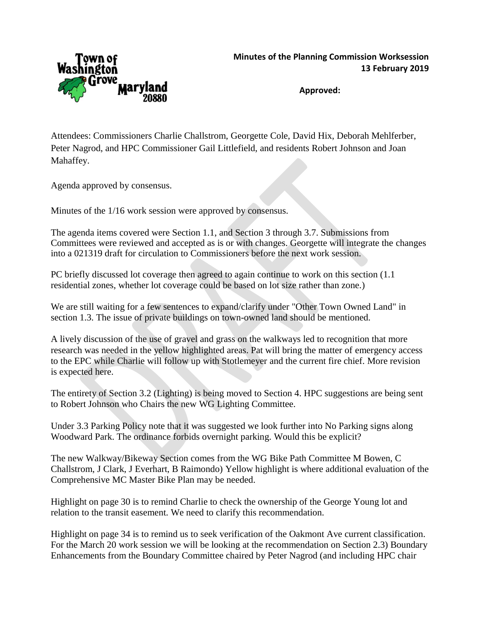

**Approved:**

Attendees: Commissioners Charlie Challstrom, Georgette Cole, David Hix, Deborah Mehlferber, Peter Nagrod, and HPC Commissioner Gail Littlefield, and residents Robert Johnson and Joan Mahaffey.

Agenda approved by consensus.

Minutes of the 1/16 work session were approved by consensus.

The agenda items covered were Section 1.1, and Section 3 through 3.7. Submissions from Committees were reviewed and accepted as is or with changes. Georgette will integrate the changes into a 021319 draft for circulation to Commissioners before the next work session.

PC briefly discussed lot coverage then agreed to again continue to work on this section (1.1 residential zones, whether lot coverage could be based on lot size rather than zone.)

We are still waiting for a few sentences to expand/clarify under "Other Town Owned Land" in section 1.3. The issue of private buildings on town-owned land should be mentioned.

A lively discussion of the use of gravel and grass on the walkways led to recognition that more research was needed in the yellow highlighted areas. Pat will bring the matter of emergency access to the EPC while Charlie will follow up with Stotlemeyer and the current fire chief. More revision is expected here.

The entirety of Section 3.2 (Lighting) is being moved to Section 4. HPC suggestions are being sent to Robert Johnson who Chairs the new WG Lighting Committee.

Under 3.3 Parking Policy note that it was suggested we look further into No Parking signs along Woodward Park. The ordinance forbids overnight parking. Would this be explicit?

The new Walkway/Bikeway Section comes from the WG Bike Path Committee M Bowen, C Challstrom, J Clark, J Everhart, B Raimondo) Yellow highlight is where additional evaluation of the Comprehensive MC Master Bike Plan may be needed.

Highlight on page 30 is to remind Charlie to check the ownership of the George Young lot and relation to the transit easement. We need to clarify this recommendation.

Highlight on page 34 is to remind us to seek verification of the Oakmont Ave current classification. For the March 20 work session we will be looking at the recommendation on Section 2.3) Boundary Enhancements from the Boundary Committee chaired by Peter Nagrod (and including HPC chair